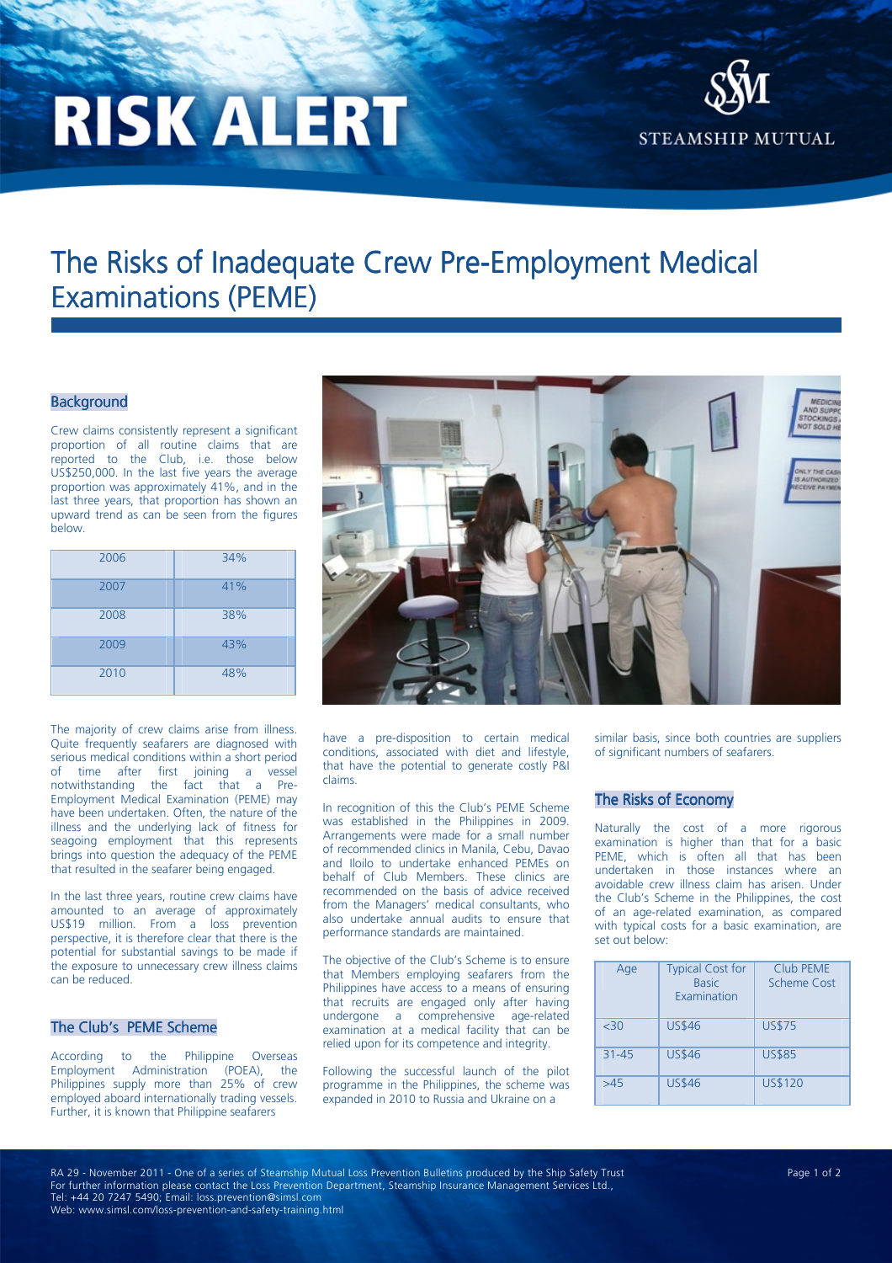# **RISK ALERT**



# The Risks of Inadequate Crew Pre-Employment Medical Examinations (PEME) (PEME)

## **Background**

Crew claims consistently represent a significant proportion of all routine claims that are reported to the Club, i.e. those below US\$250,000. In the last five years the average proportion was approximately 41%, and in the last three years, that proportion has shown an upward trend as can be seen from the figures below.

| 2006 | 34% |
|------|-----|
| 2007 | 41% |
| 2008 | 38% |
| 2009 | 43% |
| 2010 | 48% |

The majority of crew claims arise from illness. Quite frequently seafarers are diagnosed with serious medical conditions within a short period of time after first joining a vessel notwithstanding the fact that a Pre-Employment Medical Examination (PEME) may have been undertaken. Often, the nature of the illness and the underlying lack of fitness for seagoing employment that this represents brings into question the adequacy of the PEME that resulted in the seafarer being engaged.

In the last three years, routine crew claims have amounted to an average of approximately US\$19 million. From a loss prevention perspective, it is therefore clear that there is the potential for substantial savings to be made if the exposure to unnecessary crew illness claims can be reduced.

### The Club's PEME Scheme

According to the Philippine Overseas Employment Administration (POEA), the Philippines supply more than 25% of crew employed aboard internationally trading vessels. Further, it is known that Philippine seafarers



have a pre-disposition to certain medical conditions, associated with diet and lifestyle, that have the potential to generate costly P&I claims.

In recognition of this the Club's PEME Scheme was established in the Philippines in 2009. Arrangements were made for a small number of recommended clinics in Manila, Cebu, Davao and Iloilo to undertake enhanced PEMEs on behalf of Club Members. These clinics are recommended on the basis of advice received from the Managers' medical consultants, who also undertake annual audits to ensure that performance standards are maintained.

The objective of the Club's Scheme is to ensure that Members employing seafarers from the Philippines have access to a means of ensuring that recruits are engaged only after having undergone a comprehensive age-related examination at a medical facility that can be relied upon for its competence and integrity.

Following the successful launch of the pilot programme in the Philippines, the scheme was expanded in 2010 to Russia and Ukraine on a

similar basis, since both countries are suppliers of significant numbers of seafarers.

#### The Risks of Economy

Naturally the cost of a more rigorous examination is higher than that for a basic PEME, which is often all that has been undertaken in those instances where an avoidable crew illness claim has arisen. Under the Club's Scheme in the Philippines, the cost of an age-related examination, as compared with typical costs for a basic examination, are set out below:

| Age       | <b>Typical Cost for</b><br><b>Basic</b><br><b>Fxamination</b> | Club PFMF<br>Scheme Cost |
|-----------|---------------------------------------------------------------|--------------------------|
| <30       | <b>US\$46</b>                                                 | <b>US\$75</b>            |
| $31 - 45$ | <b>US\$46</b>                                                 | <b>US\$85</b>            |
| >45       | <b>US\$46</b>                                                 | <b>US\$120</b>           |

RA 29 - November 2011 - One of a series of Steamship Mutual Loss Prevention Bulletins produced by the Ship Safety Trust Page 1 of 2 For further information please contact the Loss Prevention Department, Steamship Insurance Management Services Ltd., Tel: +44 20 7247 5490; Email: loss.prevention@simsl.com Web: www.simsl.com/loss-prevention-and-safety-training.html